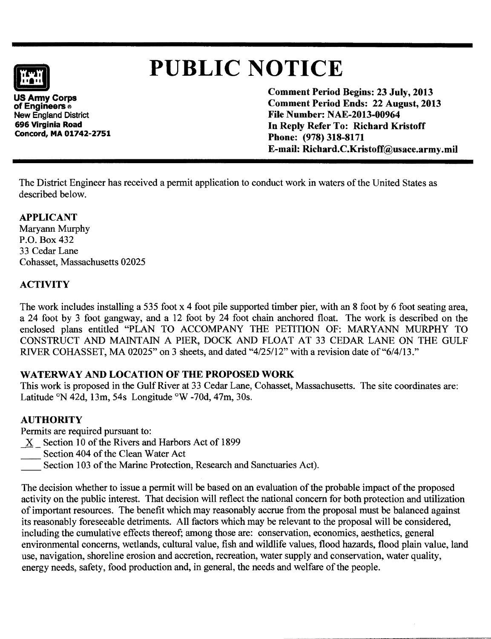# **f**

# **PUBLIC** NOTICE

**US Army Corps** of Engineers  $\circ$ New England District 696 Virginia Road Concord, MA 01742-2751 Comment Period Begins: 23 July, 2013 Comment Period Ends: 22 August, 2013 File Number: NAE-2013-00964 In Reply Refer To: Richard Kristoff Phone: (978) 318-8171 E-mail: Richard.C.Kristoff@usace.army .mil

The District Engineer has received a permit application to conduct work in waters of the United States as described below.

# APPLICANT

Maryann Murphy P.O. Box 432 33 Cedar Lane Cohasset, Massachusetts 02025

# **ACTIVITY**

The work includes installing a 535 foot x 4 foot pile supported timber pier, with an 8 foot by 6 foot seating area, a 24 foot by 3 foot gangway, and a 12 foot by 24 foot chain anchored float. The work is described on the enclosed plans entitled "PLAN TO ACCOMPANY THE PETITION OF: MARYANN MURPHY TO CONSTRUCT AND MAINTAIN A PIER, DOCK AND FLOAT AT 33 CEDAR LANE ON THE GULF RIVER COHASSET, MA 02025" on 3 sheets, and dated "4/25/12" with a revision date of"6/4/13."

# WATERWAY AND LOCATION OF THE PROPOSED WORK

This work is proposed in the Gulf River at 33 Cedar Lane, Cohasset, Massachusetts. The site coordinates are: Latitude  $\degree$ N 42d, 13m, 54s Longitude  $\degree$ W -70d, 47m, 30s.

# AUTHORITY

Permits are required pursuant to:

- X Section 10 of the Rivers and Harbors Act of 1899
- Section 404 of the Clean Water Act
- Section 103 of the Marine Protection, Research and Sanctuaries Act).

The decision whether to issue a permit will be based on an evaluation of the probable impact of the proposed activity on the public interest. That decision will reflect the national concern for both protection and utilization of important resources. The benefit which may reasonably accrue from the proposal must be balanced against its reasonably foreseeable detriments. All factors which may be relevant to the proposal will be considered, including the cumulative effects thereof; among those are: conservation, economics, aesthetics, general environmental concerns, wetlands, cultural value, fish and wildlife values, flood hazards, flood plain value, land use, navigation, shoreline erosion and accretion, recreation, water supply and conservation, water quality, energy needs, safety, food production and, in general, the needs and welfare of the people.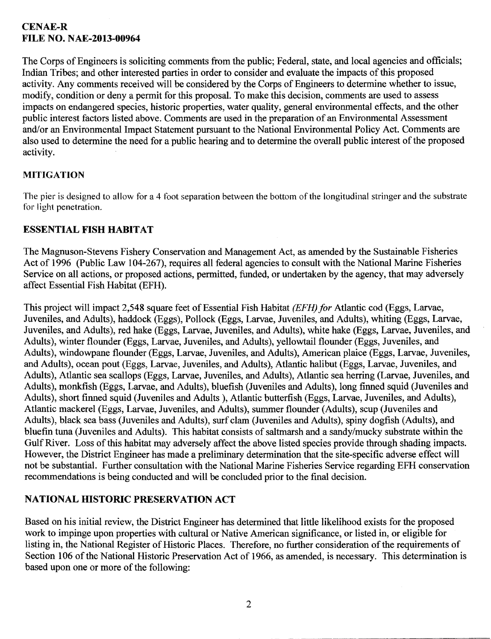# CENAE-R FILE NO. NAE-2013-00964

The Corps of Engineers is soliciting comments from the public; Federal, state, and local agencies and officials; Indian Tribes; and other interested parties in order to consider and evaluate the impacts of this proposed activity. Any comments received will be considered by the Corps of Engineers to determine whether to issue, modify, condition or deny a permit for this proposal. To make this decision, comments are used to assess impacts on endangered species, historic properties, water quality, general environmental effects, and the other public interest factors listed above. Comments are used in the preparation of an Environmental Assessment and/or an Environmental Impact Statement pursuant to the National Environmental Policy Act. Comments are also used to determine the need for a public hearing and to determine the overall public interest of the proposed activity.

#### MITIGATION

The pier is designed to allow for a 4 foot separation between the bottom of the longitudinal stringer and the substrate for light penetration.

#### ESSENTIAL FISH HABITAT

The Magnuson-Stevens Fishery Conservation and Management Act, as amended by the Sustainable Fisheries Act of 1996 (Public Law 104-267), requires all federal agencies to consult with the National Marine Fisheries Service on all actions, or proposed actions, permitted, funded, or undertaken by the agency, that may adversely affect Essential Fish Habitat (EFH).

This project will impact 2,548 square feet of Essential Fish Habitat (EFH) *for* Atlantic cod (Eggs, Larvae, Juveniles, and Adults), haddock (Eggs), Pollock (Eggs, Larvae, Juveniles, and Adults), whiting (Eggs, Larvae, Juveniles, and Adults), red hake (Eggs, Larvae, Juveniles, and Adults), white hake (Eggs, Larvae, Juveniles, and Adults), winter flounder (Eggs, Larvae, Juveniles, and Adults), yellowtail flounder (Eggs, Juveniles, and Adults), windowpane flounder (Eggs, Larvae, Juveniles, and Adults), American plaice (Eggs, Larvae, Juveniles, and Adults), ocean pout (Eggs, Larvae, Juveniles, and Adults), Atlantic halibut (Eggs, Larvae, Juveniles, and Adults), Atlantic sea scallops (Eggs, Larvae, Juveniles, and Adults), Atlantic sea herring (Larvae, Juveniles, and Adults), monkfish (Eggs, Larvae, and Adults), bluefish (Juveniles and Adults), long finned squid (Juveniles and Adults), short finned squid (Juveniles and Adults), Atlantic butterfish (Eggs, Larvae, Juveniles, and Adults), Atlantic mackerel (Eggs, Larvae, Juveniles, and Adults), summer flounder (Adults), scup (Juveniles and Adults), black sea bass (Juveniles and Adults), surf clam (Juveniles and Adults), spiny dogfish (Adults), and bluefin tuna (Juveniles and Adults). This habitat consists of saltmarsh and a sandy/mucky substrate within the Gulf River. Loss of this habitat may adversely affect the above listed species provide through shading impacts. However, the District Engineer has made a preliminary determination that the site-specific adverse effect will not be substantial. Further consultation with the National Marine Fisheries Service regarding EFH conservation recommendations is being conducted and will be concluded prior to the final decision.

# NATIONAL HISTORIC PRESERVATION ACT

Based on his initial review, the District Engineer has determined that little likelihood exists for the proposed work to impinge upon properties with cultural or Native American significance, or listed in, or eligible for listing in, the National Register of Historic Places. Therefore, no further consideration of the requirements of Section 106 of the National Historic Preservation Act of 1966, as amended, is necessary. This determination is based upon one or more of the following: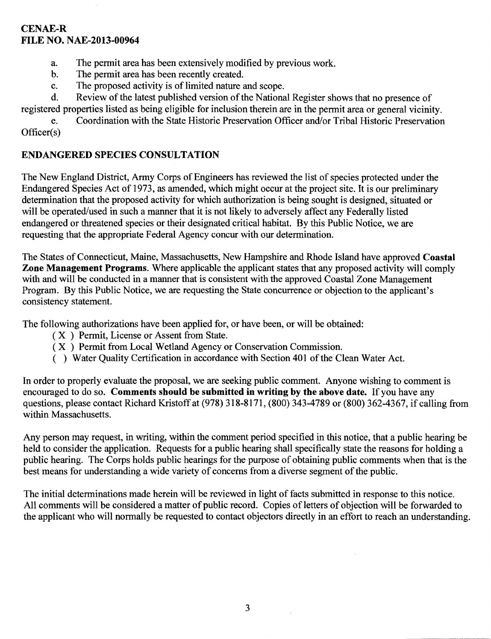#### CENAE-R FILE NO. NAE-2013-00964

- a. The permit area has been extensively modified by previous work.
- b. The permit area has been recently created.
- c. The proposed activity is of limited nature and scope.

d. Review of the latest published version of the National Register shows that no presence of registered properties listed as being eligible for inclusion therein are in the permit area or general vicinity.

e. Coordination with the State Historic Preservation Officer and/or Tribal Historic Preservation Officer(s)

# ENDANGERED SPECIES CONSULTATION

The New England District, Army Corps of Engineers has reviewed the list of species protected under the Endangered Species Act of 1973, as amended, which might occur at the project site. It is our preliminary determination that the proposed activity for which authorization is being sought is designed, situated or will be operated/used in such a manner that it is not likely to adversely affect any Federally listed endangered or threatened species or their designated critical habitat. By this Public Notice, we are requesting that the appropriate Federal Agency concur with our determination.

The States of Connecticut, Maine, Massachusetts, New Hampshire and Rhode Island have approved Coastal Zone Management Programs. Where applicable the applicant states that any proposed activity will comply with and will be conducted in a manner that is consistent with the approved Coastal Zone Management Program. By this Public Notice, we are requesting the State concurrence or objection to the applicant's consistency statement.

The following authorizations have been applied for, or have been, or will be obtained:

- ( X ) Permit, License or Assent from State.
- (X ) Permit from Local Wetland Agency or Conservation Commission.
- ( ) Water Quality Certification in accordance with Section 401 of the Clean Water Act.

In order to properly evaluate the proposal, we are seeking public comment. Anyone wishing to comment is encouraged to do so. Comments should be submitted in writing by the above date. If you have any questions, please contact Richard Kristoff at (978) 318-8171, (800) 343-4789 or (800) 362-4367, if calling from within Massachusetts.

Any person may request, in writing, within the comment period specified in this notice, that a public hearing be held to consider the application. Requests for a public hearing shall specifically state the reasons for holding a public hearing. The Corps holds public hearings for the purpose of obtaining public comments when that is the best means for understanding a wide variety of concerns from a diverse segment of the public.

The initial determinations made herein will be reviewed in light of facts submitted in response to this notice. All comments will be considered a matter of public record. Copies of letters of objection will be forwarded to the applicant who will normally be requested to contact objectors directly in an effort to reach an understanding.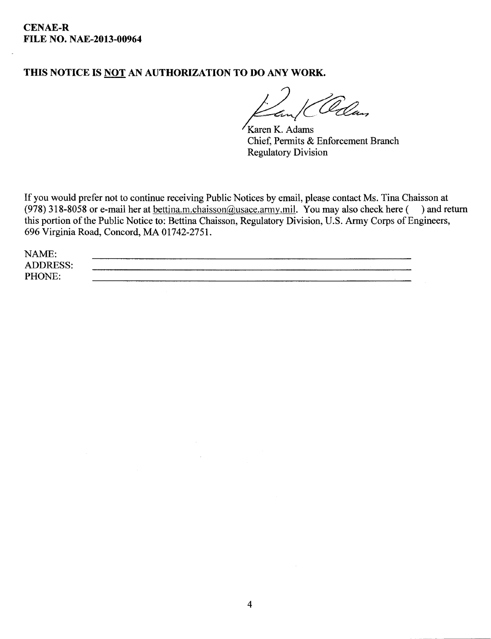# THIS NOTICE IS NOT AN AUTHORIZATION TO DO ANY WORK.

<u>Elan</u>

Karen K. Adams Chief, Permits & Enforcement Branch Regulatory Division

If you would prefer not to continue receiving Public Notices by email, please contact Ms. Tina Chaisson at (978) 318-8058 or e-mail her at bettina.m.chaisson@usace.army.mil. You may also check here () and return this portion of the Public Notice to: Bettina Chaisson, Regulatory Division, U.S. Army Corps of Engineers, 696 Virginia Road, Concord, MA 01742-2751.

| NAME:           |  |
|-----------------|--|
| <b>ADDRESS:</b> |  |
| PHONE:          |  |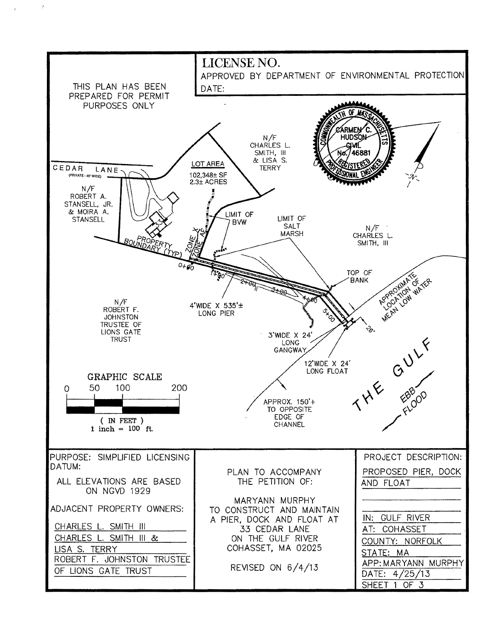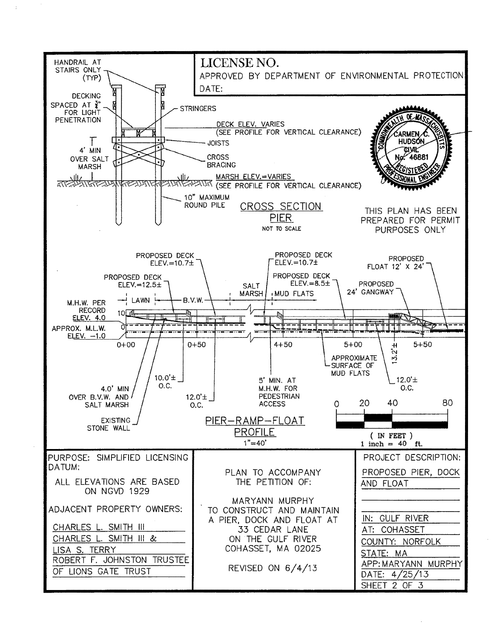